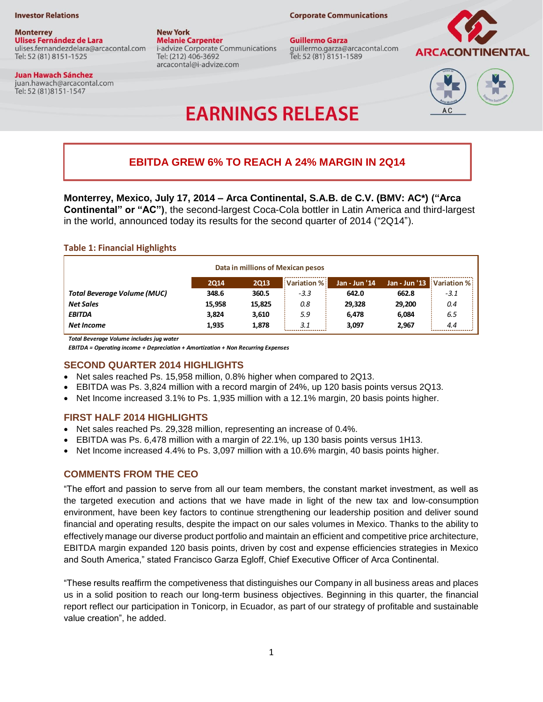#### **Investor Relations**

**Monterrey** Ulises Fernández de Lara ulises.fernandezdelara@arcacontal.com Tel: 52 (81) 8151-1525

#### **Juan Hawach Sánchez** juan.hawach@arcacontal.com

Tel: 52 (81) 8151-1547

**New York Melanie Carpenter** i-advize Corporate Communications Tel: (212) 406-3692 arcacontal@i-advize.com

**Guillermo Garza** guillermo.garza@arcacontal.com Tel: 52 (81) 8151-1589

**Corporate Communications** 





# **EARNINGS RELEASE**

## **EBITDA GREW 6% TO REACH A 24% MARGIN IN 2Q14**

**Monterrey, Mexico, July 17, 2014 – Arca Continental, S.A.B. de C.V. (BMV: AC\*) ("Arca Continental" or "AC")**, the second-largest Coca-Cola bottler in Latin America and third-largest in the world, announced today its results for the second quarter of 2014 ("2Q14").

### **Table 1: Financial Highlights**

| Data in millions of Mexican pesos |             |             |             |                        |        |                           |
|-----------------------------------|-------------|-------------|-------------|------------------------|--------|---------------------------|
|                                   | <b>2Q14</b> | <b>2Q13</b> | Variation % | <b>Jan - Jun '14</b> ' |        | Jan - Jun '13 Variation % |
| Total Beverage Volume (MUC)       | 348.6       | 360.5       | $-3.3$      | 642.0                  | 662.8  | $-3.1$                    |
| <b>Net Sales</b>                  | 15.958      | 15,825      | 0.8         | 29.328                 | 29.200 | 0.4                       |
| <b>EBITDA</b>                     | 3.824       | 3,610       | 5.9         | 6.478                  | 6.084  | 6.5                       |
| Net Income                        | 1,935       | 1,878       | 3.1         | 3.097                  | 2.967  | 4.4                       |

*Total Beverage Volume includes jug water*

*EBITDA = Operating income + Depreciation + Amortization + Non Recurring Expenses*

#### **SECOND QUARTER 2014 HIGHLIGHTS**

- Net sales reached Ps. 15,958 million, 0.8% higher when compared to 2Q13.
- EBITDA was Ps. 3,824 million with a record margin of 24%, up 120 basis points versus 2Q13.
- $\bullet$  Net Income increased 3.1% to Ps. 1,935 million with a 12.1% margin, 20 basis points higher.

#### **FIRST HALF 2014 HIGHLIGHTS**

- Net sales reached Ps. 29,328 million, representing an increase of 0.4%.
- EBITDA was Ps. 6,478 million with a margin of 22.1%, up 130 basis points versus 1H13.
- Net Income increased 4.4% to Ps. 3,097 million with a 10.6% margin, 40 basis points higher.

#### **COMMENTS FROM THE CEO**

"The effort and passion to serve from all our team members, the constant market investment, as well as the targeted execution and actions that we have made in light of the new tax and low-consumption environment, have been key factors to continue strengthening our leadership position and deliver sound financial and operating results, despite the impact on our sales volumes in Mexico. Thanks to the ability to effectively manage our diverse product portfolio and maintain an efficient and competitive price architecture, EBITDA margin expanded 120 basis points, driven by cost and expense efficiencies strategies in Mexico and South America," stated Francisco Garza Egloff, Chief Executive Officer of Arca Continental.

"These results reaffirm the competiveness that distinguishes our Company in all business areas and places us in a solid position to reach our long-term business objectives. Beginning in this quarter, the financial report reflect our participation in Tonicorp, in Ecuador, as part of our strategy of profitable and sustainable value creation", he added.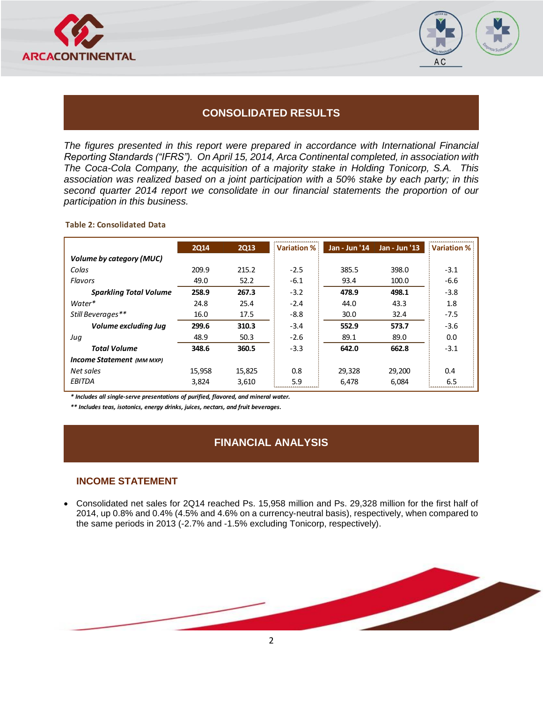



## **CONSOLIDATED RESULTS**

*The figures presented in this report were prepared in accordance with International Financial Reporting Standards ("IFRS"). On April 15, 2014, Arca Continental completed, in association with The Coca-Cola Company, the acquisition of a majority stake in Holding Tonicorp, S.A. This association was realized based on a joint participation with a 50% stake by each party; in this second quarter 2014 report we consolidate in our financial statements the proportion of our participation in this business.* 

#### **Table 2: Consolidated Data**

|                               | 2014   | <b>2Q13</b> | <b>Variation %</b> | Jan - Jun '14 | Jan - Jun '13 | <b>Variation %</b> |
|-------------------------------|--------|-------------|--------------------|---------------|---------------|--------------------|
| Volume by category (MUC)      |        |             |                    |               |               |                    |
| Colas                         | 209.9  | 215.2       | $-2.5$             | 385.5         | 398.0         | $-3.1$             |
| Flavors                       | 49.0   | 52.2        | $-6.1$             | 93.4          | 100.0         | $-6.6$             |
| <b>Sparkling Total Volume</b> | 258.9  | 267.3       | $-3.2$             | 478.9         | 498.1         | $-3.8$             |
| Water*                        | 24.8   | 25.4        | $-2.4$             | 44.0          | 43.3          | 1.8                |
| Still Beverages**             | 16.0   | 17.5        | $-8.8$             | 30.0          | 32.4          | $-7.5$             |
| Volume excluding Jug          | 299.6  | 310.3       | $-3.4$             | 552.9         | 573.7         | $-3.6$             |
| Juq                           | 48.9   | 50.3        | $-2.6$             | 89.1          | 89.0          | 0.0                |
| <b>Total Volume</b>           | 348.6  | 360.5       | $-3.3$             | 642.0         | 662.8         | $-3.1$             |
| Income Statement (MM MXP)     |        |             |                    |               |               |                    |
| Net sales                     | 15,958 | 15,825      | 0.8                | 29,328        | 29,200        | 0.4                |
| EBITDA                        | 3.824  | 3,610       | 5.9                | 6,478         | 6,084         | 6.5                |

*\* Includes all single-serve presentations of purified, flavored, and mineral water.*

*\*\* Includes teas, isotonics, energy drinks, juices, nectars, and fruit beverages.* 

## **FINANCIAL ANALYSIS**

### **INCOME STATEMENT**

 Consolidated net sales for 2Q14 reached Ps. 15,958 million and Ps. 29,328 million for the first half of 2014, up 0.8% and 0.4% (4.5% and 4.6% on a currency-neutral basis), respectively, when compared to the same periods in 2013 (-2.7% and -1.5% excluding Tonicorp, respectively).

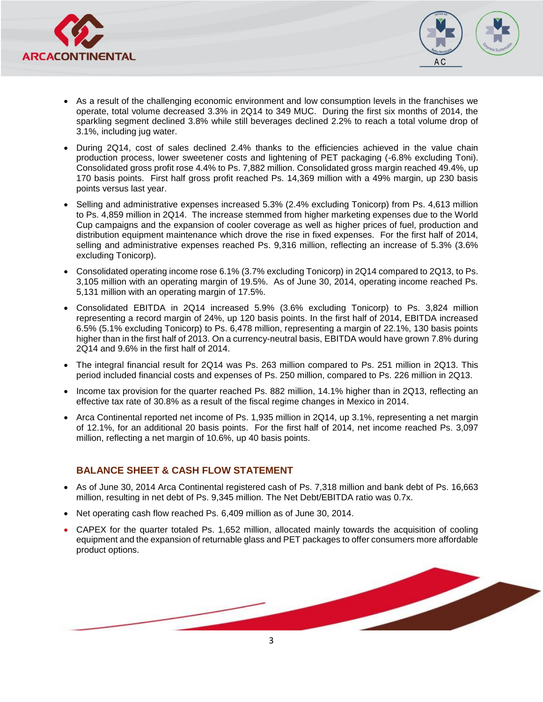



- As a result of the challenging economic environment and low consumption levels in the franchises we operate, total volume decreased 3.3% in 2Q14 to 349 MUC. During the first six months of 2014, the sparkling segment declined 3.8% while still beverages declined 2.2% to reach a total volume drop of 3.1%, including jug water.
- During 2Q14, cost of sales declined 2.4% thanks to the efficiencies achieved in the value chain production process, lower sweetener costs and lightening of PET packaging (-6.8% excluding Toni). Consolidated gross profit rose 4.4% to Ps. 7,882 million. Consolidated gross margin reached 49.4%, up 170 basis points. First half gross profit reached Ps. 14,369 million with a 49% margin, up 230 basis points versus last year.
- Selling and administrative expenses increased 5.3% (2.4% excluding Tonicorp) from Ps. 4,613 million to Ps. 4,859 million in 2Q14. The increase stemmed from higher marketing expenses due to the World Cup campaigns and the expansion of cooler coverage as well as higher prices of fuel, production and distribution equipment maintenance which drove the rise in fixed expenses. For the first half of 2014, selling and administrative expenses reached Ps. 9,316 million, reflecting an increase of 5.3% (3.6% excluding Tonicorp).
- Consolidated operating income rose 6.1% (3.7% excluding Tonicorp) in 2Q14 compared to 2Q13, to Ps. 3,105 million with an operating margin of 19.5%. As of June 30, 2014, operating income reached Ps. 5,131 million with an operating margin of 17.5%.
- Consolidated EBITDA in 2Q14 increased 5.9% (3.6% excluding Tonicorp) to Ps. 3,824 million representing a record margin of 24%, up 120 basis points. In the first half of 2014, EBITDA increased 6.5% (5.1% excluding Tonicorp) to Ps. 6,478 million, representing a margin of 22.1%, 130 basis points higher than in the first half of 2013. On a currency-neutral basis, EBITDA would have grown 7.8% during 2Q14 and 9.6% in the first half of 2014.
- The integral financial result for 2Q14 was Ps. 263 million compared to Ps. 251 million in 2Q13. This period included financial costs and expenses of Ps. 250 million, compared to Ps. 226 million in 2Q13.
- Income tax provision for the quarter reached Ps. 882 million, 14.1% higher than in 2Q13, reflecting an effective tax rate of 30.8% as a result of the fiscal regime changes in Mexico in 2014.
- Arca Continental reported net income of Ps. 1,935 million in 2Q14, up 3.1%, representing a net margin of 12.1%, for an additional 20 basis points. For the first half of 2014, net income reached Ps. 3,097 million, reflecting a net margin of 10.6%, up 40 basis points.

## **BALANCE SHEET & CASH FLOW STATEMENT**

- As of June 30, 2014 Arca Continental registered cash of Ps. 7,318 million and bank debt of Ps. 16,663 million, resulting in net debt of Ps. 9,345 million. The Net Debt/EBITDA ratio was 0.7x.
- Net operating cash flow reached Ps. 6,409 million as of June 30, 2014.
- CAPEX for the quarter totaled Ps. 1,652 million, allocated mainly towards the acquisition of cooling equipment and the expansion of returnable glass and PET packages to offer consumers more affordable product options.

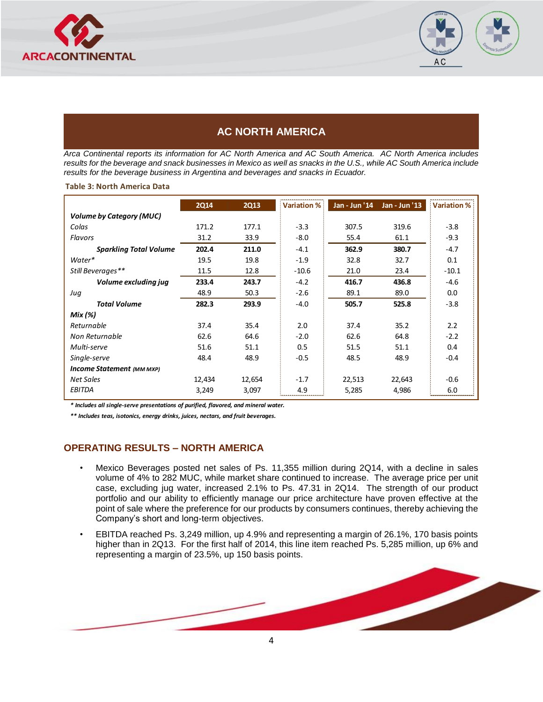



## **AC NORTH AMERICA**

*Arca Continental reports its information for AC North America and AC South America. AC North America includes results for the beverage and snack businesses in Mexico as well as snacks in the U.S., while AC South America include results for the beverage business in Argentina and beverages and snacks in Ecuador.* 

#### **Table 3: North America Data**

|                                 | <b>2Q14</b> | <b>2Q13</b> | Variation % | Jan - Jun '14 | Jan - Jun '13 | <b>Variation %</b> |
|---------------------------------|-------------|-------------|-------------|---------------|---------------|--------------------|
| <b>Volume by Category (MUC)</b> |             |             |             |               |               |                    |
| Colas                           | 171.2       | 177.1       | $-3.3$      | 307.5         | 319.6         | $-3.8$             |
| Flavors                         | 31.2        | 33.9        | $-8.0$      | 55.4          | 61.1          | $-9.3$             |
| <b>Sparkling Total Volume</b>   | 202.4       | 211.0       | $-4.1$      | 362.9         | 380.7         | $-4.7$             |
| Water*                          | 19.5        | 19.8        | $-1.9$      | 32.8          | 32.7          | 0.1                |
| Still Beverages**               | 11.5        | 12.8        | $-10.6$     | 21.0          | 23.4          | $-10.1$            |
| Volume excluding jug            | 233.4       | 243.7       | $-4.2$      | 416.7         | 436.8         | $-4.6$             |
| Juq                             | 48.9        | 50.3        | $-2.6$      | 89.1          | 89.0          | 0.0                |
| <b>Total Volume</b>             | 282.3       | 293.9       | $-4.0$      | 505.7         | 525.8         | $-3.8$             |
| Mix (%)                         |             |             |             |               |               |                    |
| Returnable                      | 37.4        | 35.4        | 2.0         | 37.4          | 35.2          | 2.2                |
| Non Returnable                  | 62.6        | 64.6        | $-2.0$      | 62.6          | 64.8          | $-2.2$             |
| Multi-serve                     | 51.6        | 51.1        | 0.5         | 51.5          | 51.1          | 0.4                |
| Single-serve                    | 48.4        | 48.9        | $-0.5$      | 48.5          | 48.9          | $-0.4$             |
| Income Statement (MM MXP)       |             |             |             |               |               |                    |
| <b>Net Sales</b>                | 12,434      | 12,654      | $-1.7$      | 22,513        | 22,643        | $-0.6$             |
| EBITDA                          | 3,249       | 3,097       | 4.9         | 5,285         | 4,986         | 6.0                |

*\* Includes all single-serve presentations of purified, flavored, and mineral water.*

*\*\* Includes teas, isotonics, energy drinks, juices, nectars, and fruit beverages.* 

### **OPERATING RESULTS – NORTH AMERICA**

- Mexico Beverages posted net sales of Ps. 11,355 million during 2Q14, with a decline in sales volume of 4% to 282 MUC, while market share continued to increase. The average price per unit case, excluding jug water, increased 2.1% to Ps. 47.31 in 2Q14. The strength of our product portfolio and our ability to efficiently manage our price architecture have proven effective at the point of sale where the preference for our products by consumers continues, thereby achieving the Company's short and long-term objectives.
- EBITDA reached Ps. 3,249 million, up 4.9% and representing a margin of 26.1%, 170 basis points higher than in 2Q13. For the first half of 2014, this line item reached Ps. 5,285 million, up 6% and representing a margin of 23.5%, up 150 basis points.

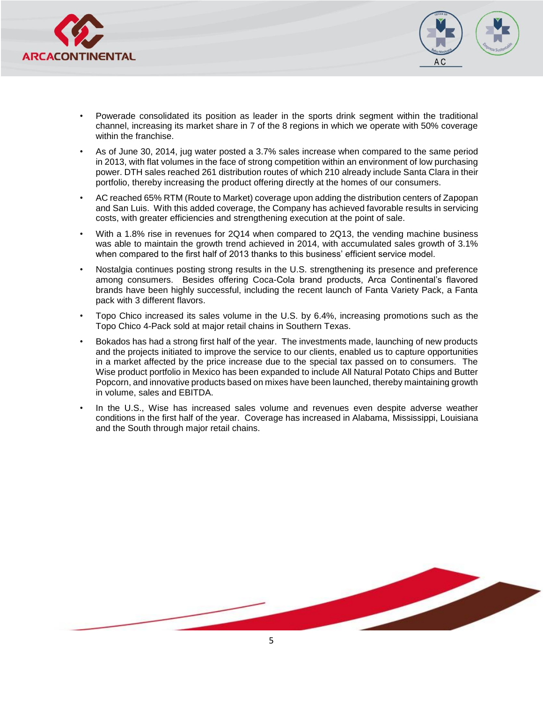



- Powerade consolidated its position as leader in the sports drink segment within the traditional channel, increasing its market share in 7 of the 8 regions in which we operate with 50% coverage within the franchise.
- As of June 30, 2014, jug water posted a 3.7% sales increase when compared to the same period in 2013, with flat volumes in the face of strong competition within an environment of low purchasing power. DTH sales reached 261 distribution routes of which 210 already include Santa Clara in their portfolio, thereby increasing the product offering directly at the homes of our consumers.
- AC reached 65% RTM (Route to Market) coverage upon adding the distribution centers of Zapopan and San Luis. With this added coverage, the Company has achieved favorable results in servicing costs, with greater efficiencies and strengthening execution at the point of sale.
- With a 1.8% rise in revenues for 2Q14 when compared to 2Q13, the vending machine business was able to maintain the growth trend achieved in 2014, with accumulated sales growth of 3.1% when compared to the first half of 2013 thanks to this business' efficient service model.
- Nostalgia continues posting strong results in the U.S. strengthening its presence and preference among consumers. Besides offering Coca-Cola brand products, Arca Continental's flavored brands have been highly successful, including the recent launch of Fanta Variety Pack, a Fanta pack with 3 different flavors.
- Topo Chico increased its sales volume in the U.S. by 6.4%, increasing promotions such as the Topo Chico 4-Pack sold at major retail chains in Southern Texas.
- Bokados has had a strong first half of the year. The investments made, launching of new products and the projects initiated to improve the service to our clients, enabled us to capture opportunities in a market affected by the price increase due to the special tax passed on to consumers. The Wise product portfolio in Mexico has been expanded to include All Natural Potato Chips and Butter Popcorn, and innovative products based on mixes have been launched, thereby maintaining growth in volume, sales and EBITDA.
- In the U.S., Wise has increased sales volume and revenues even despite adverse weather conditions in the first half of the year. Coverage has increased in Alabama, Mississippi, Louisiana and the South through major retail chains.

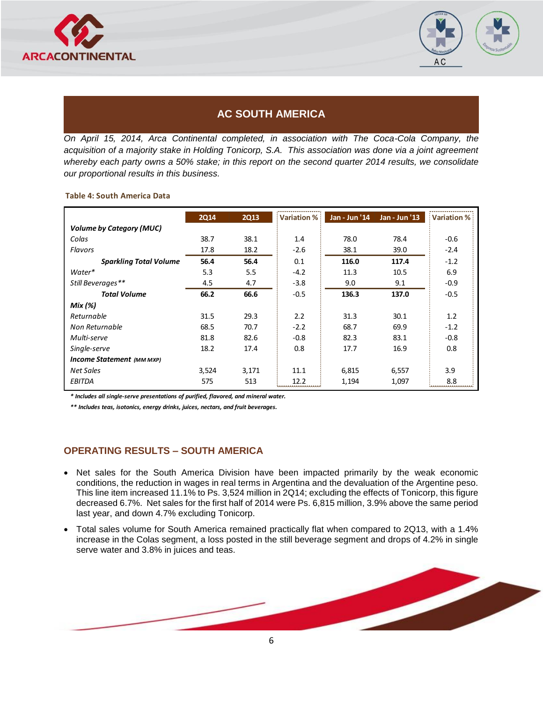



## **AC SOUTH AMERICA**

*On April 15, 2014, Arca Continental completed, in association with The Coca-Cola Company, the acquisition of a majority stake in Holding Tonicorp, S.A. This association was done via a joint agreement whereby each party owns a 50% stake; in this report on the second quarter 2014 results, we consolidate our proportional results in this business.* 

#### **Table 4: South America Data**

|                                 | <b>2Q14</b> | <b>2Q13</b> | Variation % | Jan - Jun '14 | Jan - Jun '13 | Variation % |
|---------------------------------|-------------|-------------|-------------|---------------|---------------|-------------|
| <b>Volume by Category (MUC)</b> |             |             |             |               |               |             |
| Colas                           | 38.7        | 38.1        | 1.4         | 78.0          | 78.4          | $-0.6$      |
| Flavors                         | 17.8        | 18.2        | $-2.6$      | 38.1          | 39.0          | $-2.4$      |
| <b>Sparkling Total Volume</b>   | 56.4        | 56.4        | 0.1         | 116.0         | 117.4         | $-1.2$      |
| Water*                          | 5.3         | 5.5         | $-4.2$      | 11.3          | 10.5          | 6.9         |
| Still Beverages**               | 4.5         | 4.7         | $-3.8$      | 9.0           | 9.1           | $-0.9$      |
| <b>Total Volume</b>             | 66.2        | 66.6        | $-0.5$      | 136.3         | 137.0         | $-0.5$      |
| Mix (%)                         |             |             |             |               |               |             |
| Returnable                      | 31.5        | 29.3        | 2.2         | 31.3          | 30.1          | 1.2         |
| Non Returnable                  | 68.5        | 70.7        | $-2.2$      | 68.7          | 69.9          | $-1.2$      |
| Multi-serve                     | 81.8        | 82.6        | $-0.8$      | 82.3          | 83.1          | $-0.8$      |
| Single-serve                    | 18.2        | 17.4        | 0.8         | 17.7          | 16.9          | 0.8         |
| Income Statement (MM MXP)       |             |             |             |               |               |             |
| Net Sales                       | 3,524       | 3,171       | 11.1        | 6,815         | 6,557         | 3.9         |
| EBITDA                          | 575         | 513         | 12.2        | 1,194         | 1,097         | 8.8         |

*\* Includes all single-serve presentations of purified, flavored, and mineral water.*

*\*\* Includes teas, isotonics, energy drinks, juices, nectars, and fruit beverages.* 

### **OPERATING RESULTS – SOUTH AMERICA**

- Net sales for the South America Division have been impacted primarily by the weak economic conditions, the reduction in wages in real terms in Argentina and the devaluation of the Argentine peso. This line item increased 11.1% to Ps. 3,524 million in 2Q14; excluding the effects of Tonicorp, this figure decreased 6.7%. Net sales for the first half of 2014 were Ps. 6,815 million, 3.9% above the same period last year, and down 4.7% excluding Tonicorp.
- Total sales volume for South America remained practically flat when compared to 2Q13, with a 1.4% increase in the Colas segment, a loss posted in the still beverage segment and drops of 4.2% in single serve water and 3.8% in juices and teas.

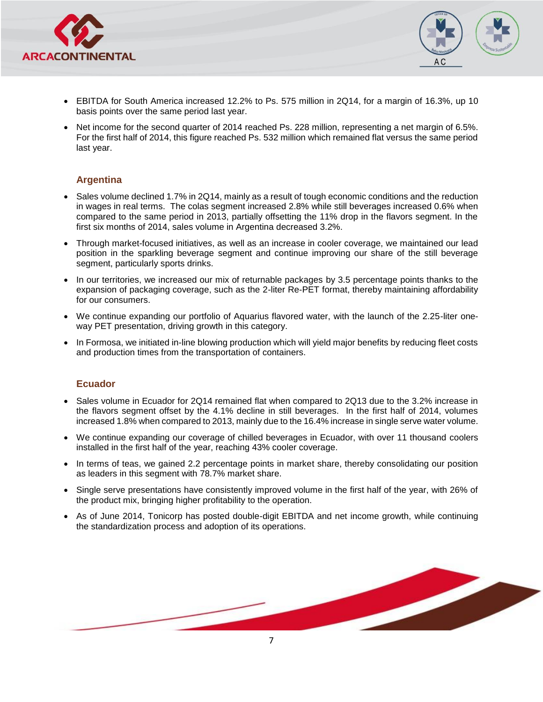



- EBITDA for South America increased 12.2% to Ps. 575 million in 2Q14, for a margin of 16.3%, up 10 basis points over the same period last year.
- Net income for the second quarter of 2014 reached Ps. 228 million, representing a net margin of 6.5%. For the first half of 2014, this figure reached Ps. 532 million which remained flat versus the same period last year.

### **Argentina**

- Sales volume declined 1.7% in 2Q14, mainly as a result of tough economic conditions and the reduction in wages in real terms. The colas segment increased 2.8% while still beverages increased 0.6% when compared to the same period in 2013, partially offsetting the 11% drop in the flavors segment. In the first six months of 2014, sales volume in Argentina decreased 3.2%.
- Through market-focused initiatives, as well as an increase in cooler coverage, we maintained our lead position in the sparkling beverage segment and continue improving our share of the still beverage segment, particularly sports drinks.
- In our territories, we increased our mix of returnable packages by 3.5 percentage points thanks to the expansion of packaging coverage, such as the 2-liter Re-PET format, thereby maintaining affordability for our consumers.
- We continue expanding our portfolio of Aquarius flavored water, with the launch of the 2.25-liter oneway PET presentation, driving growth in this category.
- In Formosa, we initiated in-line blowing production which will yield major benefits by reducing fleet costs and production times from the transportation of containers.

### **Ecuador**

- Sales volume in Ecuador for 2Q14 remained flat when compared to 2Q13 due to the 3.2% increase in the flavors segment offset by the 4.1% decline in still beverages. In the first half of 2014, volumes increased 1.8% when compared to 2013, mainly due to the 16.4% increase in single serve water volume.
- We continue expanding our coverage of chilled beverages in Ecuador, with over 11 thousand coolers installed in the first half of the year, reaching 43% cooler coverage.
- In terms of teas, we gained 2.2 percentage points in market share, thereby consolidating our position as leaders in this segment with 78.7% market share.
- Single serve presentations have consistently improved volume in the first half of the year, with 26% of the product mix, bringing higher profitability to the operation.
- As of June 2014, Tonicorp has posted double-digit EBITDA and net income growth, while continuing the standardization process and adoption of its operations.

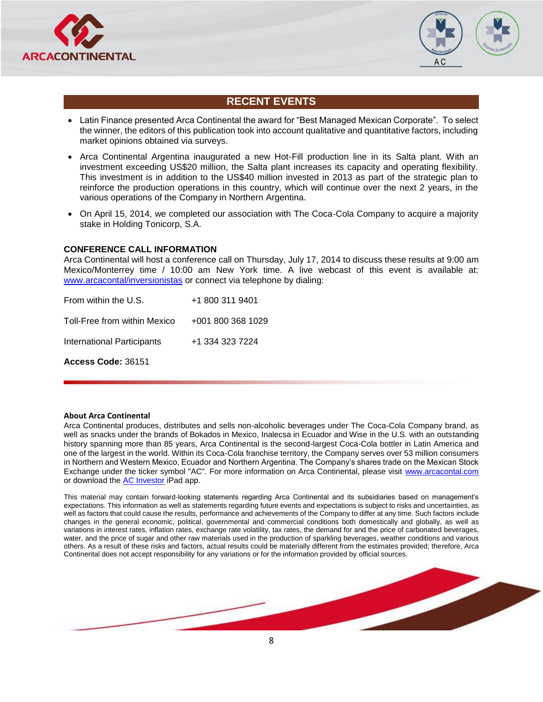



## **RECENT EVENTS**

- Latin Finance presented Arca Continental the award for "Best Managed Mexican Corporate". To select the winner, the editors of this publication took into account qualitative and quantitative factors, including market opinions obtained via surveys.
- Arca Continental Argentina inaugurated a new Hot-Fill production line in its Salta plant. With an investment exceeding US\$20 million, the Salta plant increases its capacity and operating flexibility. This investment is in addition to the US\$40 million invested in 2013 as part of the strategic plan to reinforce the production operations in this country, which will continue over the next 2 years, in the various operations of the Company in Northern Argentina.
- On April 15, 2014, we completed our association with The Coca-Cola Company to acquire a majority stake in Holding Tonicorp, S.A.

#### **CONFERENCE CALL INFORMATION**

Arca Continental will host a conference call on Thursday, July 17, 2014 to discuss these results at 9:00 am Mexico/Monterrey time / 10:00 am New York time. A live webcast of this event is available at: [www.arcacontal/inversionistas](http://www.arcacontal/inversionistas) or connect via telephone by dialing:

| Access Code: 36151                |                   |
|-----------------------------------|-------------------|
| <b>International Participants</b> | +1 334 323 7224   |
| Toll-Free from within Mexico      | +001 800 368 1029 |
| From within the U.S.              | +1 800 311 9401   |

#### **About Arca Continental**

Arca Continental produces, distributes and sells non-alcoholic beverages under The Coca-Cola Company brand, as well as snacks under the brands of Bokados in Mexico, Inalecsa in Ecuador and Wise in the U.S. with an outstanding history spanning more than 85 years, Arca Continental is the second-largest Coca-Cola bottler in Latin America and one of the largest in the world. Within its Coca-Cola franchise territory, the Company serves over 53 million consumers in Northern and Western Mexico, Ecuador and Northern Argentina. The Company's shares trade on the Mexican Stock Exchange under the ticker symbol "AC". For more information on Arca Continental, please visit [www.arcacontal.com](http://www.arcacontal.com/) or download th[e AC Investor](https://itunes.apple.com/mx/app/ac-investor/id568183298?mt=8) iPad app.

This material may contain forward-looking statements regarding Arca Continental and its subsidiaries based on management's expectations. This information as well as statements regarding future events and expectations is subject to risks and uncertainties, as well as factors that could cause the results, performance and achievements of the Company to differ at any time. Such factors include changes in the general economic, political, governmental and commercial conditions both domestically and globally, as well as variations in interest rates, inflation rates, exchange rate volatility, tax rates, the demand for and the price of carbonated beverages, water, and the price of sugar and other raw materials used in the production of sparkling beverages, weather conditions and various others. As a result of these risks and factors, actual results could be materially different from the estimates provided; therefore, Arca Continental does not accept responsibility for any variations or for the information provided by official sources.

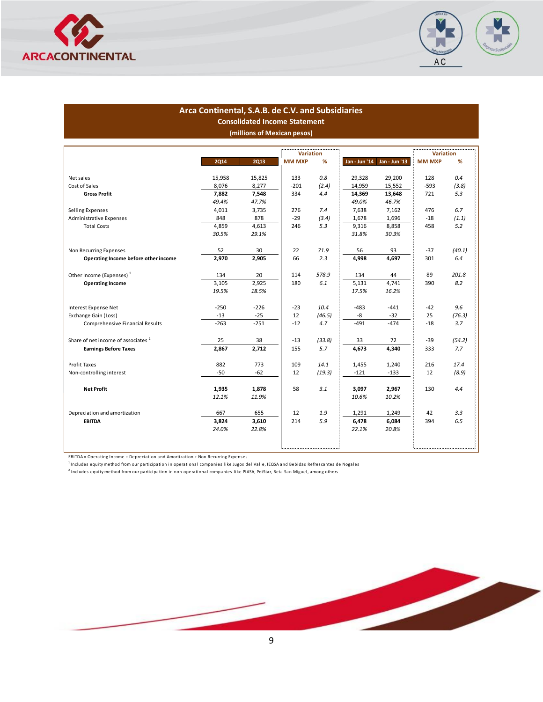



#### **Arca Continental, S.A.B. de C.V. and Subsidiaries Consolidated Income Statement (millions of Mexican pesos)**

|                                                |             |             | <b>Variation</b> |        |               |               | Variation     |        |
|------------------------------------------------|-------------|-------------|------------------|--------|---------------|---------------|---------------|--------|
|                                                | <b>2Q14</b> | <b>2Q13</b> | <b>MM MXP</b>    | ℅      | Jan - Jun '14 | Jan - Jun '13 | <b>MM MXP</b> | %      |
|                                                |             |             |                  |        |               |               |               |        |
| Net sales                                      | 15,958      | 15,825      | 133              | 0.8    | 29,328        | 29,200        | 128           | 0.4    |
| Cost of Sales                                  | 8,076       | 8,277       | $-201$           | (2.4)  | 14,959        | 15,552        | $-593$        | (3.8)  |
| <b>Gross Profit</b>                            | 7,882       | 7,548       | 334              | 4.4    | 14,369        | 13,648        | 721           | 5.3    |
|                                                | 49.4%       | 47.7%       |                  |        | 49.0%         | 46.7%         |               |        |
| Selling Expenses                               | 4,011       | 3,735       | 276              | 7.4    | 7,638         | 7,162         | 476           | 6.7    |
| Administrative Expenses                        | 848         | 878         | $-29$            | (3.4)  | 1,678         | 1,696         | $-18$         | (1.1)  |
| <b>Total Costs</b>                             | 4,859       | 4,613       | 246              | 5.3    | 9,316         | 8,858         | 458           | 5.2    |
|                                                | 30.5%       | 29.1%       |                  |        | 31.8%         | 30.3%         |               |        |
| Non Recurring Expenses                         | 52          | 30          | 22               | 71.9   | 56            | 93            | $-37$         | (40.1) |
| Operating Income before other income           | 2,970       | 2,905       | 66               | 2.3    | 4,998         | 4,697         | 301           | 6.4    |
|                                                |             |             |                  |        |               |               |               |        |
| Other Income (Expenses) <sup>1</sup>           | 134         | 20          | 114              | 578.9  | 134           | 44            | 89            | 201.8  |
| <b>Operating Income</b>                        | 3,105       | 2,925       | 180              | 6.1    | 5,131         | 4,741         | 390           | 8.2    |
|                                                | 19.5%       | 18.5%       |                  |        | 17.5%         | 16.2%         |               |        |
| Interest Expense Net                           | $-250$      | $-226$      | $-23$            | 10.4   | $-483$        | $-441$        | $-42$         | 9.6    |
|                                                |             |             |                  |        |               |               |               |        |
| Exchange Gain (Loss)                           | $-13$       | $-25$       | 12               | (46.5) | -8            | $-32$         | 25            | (76.3) |
| Comprehensive Financial Results                | $-263$      | $-251$      | $-12$            | 4.7    | $-491$        | $-474$        | $-18$         | 3.7    |
| Share of net income of associates <sup>2</sup> | 25          | 38          | $-13$            | (33.8) | 33            | 72            | $-39$         | (54.2) |
| <b>Earnings Before Taxes</b>                   | 2,867       | 2,712       | 155              | 5.7    | 4,673         | 4,340         | 333           | 7.7    |
|                                                |             |             |                  |        |               |               |               |        |
| <b>Profit Taxes</b>                            | 882         | 773         | 109              | 14.1   | 1,455         | 1,240         | 216           | 17.4   |
| Non-controlling interest                       | $-50$       | $-62$       | 12               | (19.3) | $-121$        | $-133$        | 12            | (8.9)  |
| <b>Net Profit</b>                              | 1,935       | 1,878       | 58               | 3.1    | 3,097         | 2,967         | 130           | 4.4    |
|                                                | 12.1%       | 11.9%       |                  |        | 10.6%         | 10.2%         |               |        |
|                                                |             |             |                  |        |               |               |               |        |
| Depreciation and amortization                  | 667         | 655         | 12               | 1.9    | 1,291         | 1,249         | 42            | 3.3    |
| EBITDA                                         | 3,824       | 3,610       | 214              | 5.9    | 6,478         | 6,084         | 394           | 6.5    |
|                                                | 24.0%       | 22.8%       |                  |        | 22.1%         | 20.8%         |               |        |
|                                                |             |             |                  |        |               |               |               |        |
|                                                |             |             |                  |        |               |               |               |        |

EBITDA = Operating Income + Depreciation and Amortization + Non Recurring Expenses

 $^1$ Includes equity method from our participation in operational companies like Jugos del Valle, IEQSA and Bebidas Refrescantes de Nogales

2 Includes equity method from our participation in non-operational companies like PIASA, PetStar, Beta San Miguel, among others

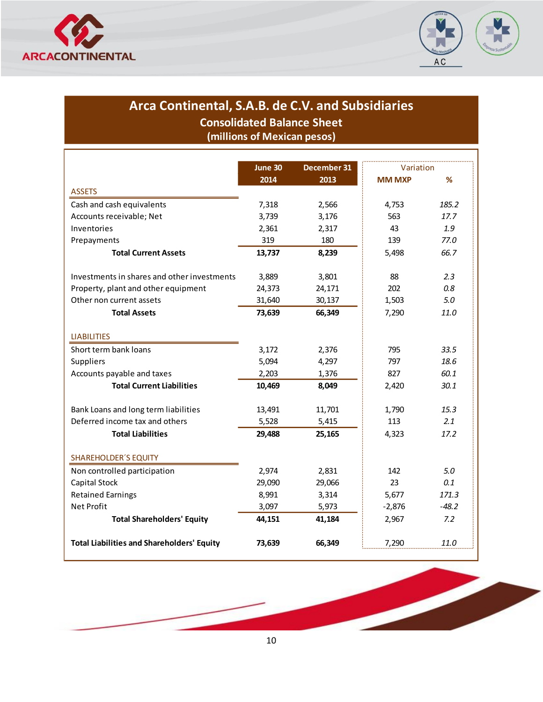



## **Consolidated Balance Sheet Arca Continental, S.A.B. de C.V. and Subsidiaries**

**(millions of Mexican pesos)**

|                                                   | June 30 | December 31 | Variation     |         |
|---------------------------------------------------|---------|-------------|---------------|---------|
|                                                   | 2014    | 2013        | <b>MM MXP</b> | %       |
| <b>ASSETS</b>                                     |         |             |               |         |
| Cash and cash equivalents                         | 7,318   | 2,566       | 4,753         | 185.2   |
| Accounts receivable; Net                          | 3,739   | 3,176       | 563           | 17.7    |
| Inventories                                       | 2,361   | 2,317       | 43            | 1.9     |
| Prepayments                                       | 319     | 180         | 139           | 77.0    |
| <b>Total Current Assets</b>                       | 13,737  | 8,239       | 5,498         | 66.7    |
| Investments in shares and other investments       | 3,889   | 3,801       | 88            | 2.3     |
| Property, plant and other equipment               | 24,373  | 24,171      | 202           | 0.8     |
| Other non current assets                          | 31,640  | 30,137      | 1,503         | 5.0     |
| <b>Total Assets</b>                               | 73,639  | 66,349      | 7,290         | 11.0    |
| <b>LIABILITIES</b>                                |         |             |               |         |
| Short term bank loans                             | 3,172   | 2,376       | 795           | 33.5    |
| Suppliers                                         | 5,094   | 4,297       | 797           | 18.6    |
| Accounts payable and taxes                        | 2,203   | 1,376       | 827           | 60.1    |
| <b>Total Current Liabilities</b>                  | 10,469  | 8,049       | 2,420         | 30.1    |
| Bank Loans and long term liabilities              | 13,491  | 11,701      | 1,790         | 15.3    |
| Deferred income tax and others                    | 5,528   | 5,415       | 113           | 2.1     |
| <b>Total Liabilities</b>                          | 29,488  | 25,165      | 4,323         | 17.2    |
| <b>SHAREHOLDER'S EQUITY</b>                       |         |             |               |         |
| Non controlled participation                      | 2,974   | 2,831       | 142           | 5.0     |
| Capital Stock                                     | 29,090  | 29,066      | 23            | 0.1     |
| <b>Retained Earnings</b>                          | 8,991   | 3,314       | 5,677         | 171.3   |
| <b>Net Profit</b>                                 | 3,097   | 5,973       | $-2,876$      | $-48.2$ |
| <b>Total Shareholders' Equity</b>                 | 44,151  | 41,184      | 2,967         | 7.2     |
| <b>Total Liabilities and Shareholders' Equity</b> | 73,639  | 66,349      | 7,290         | 11.0    |

10